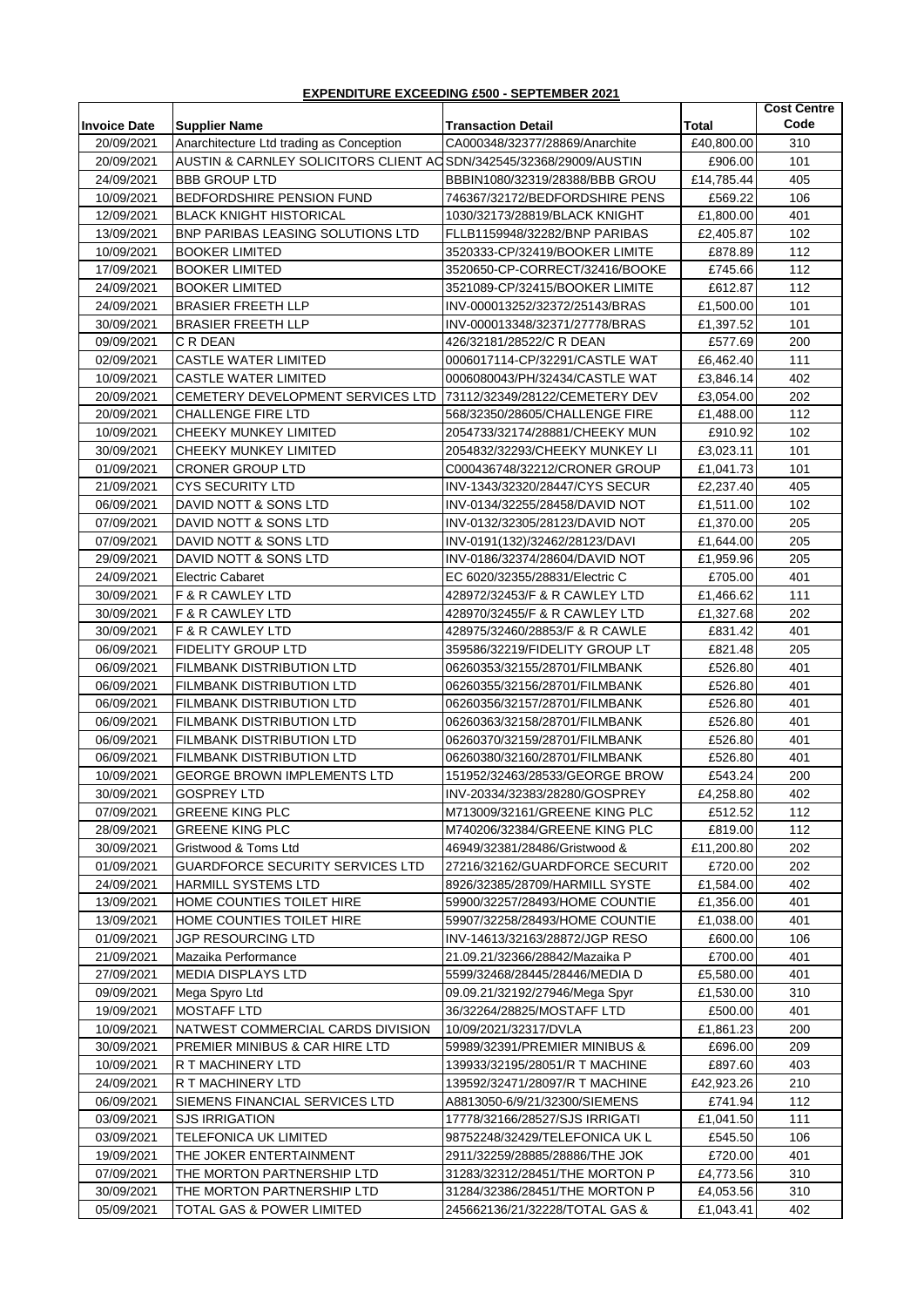## **EXPENDITURE EXCEEDING £500 - SEPTEMBER 2021**

|                     |                                                                     |                                |            | <b>Cost Centre</b> |
|---------------------|---------------------------------------------------------------------|--------------------------------|------------|--------------------|
| <b>Invoice Date</b> | <b>Supplier Name</b>                                                | <b>Transaction Detail</b>      | Total      | Code               |
| 20/09/2021          | Anarchitecture Ltd trading as Conception                            | CA000348/32377/28869/Anarchite | £40,800.00 | 310                |
| 20/09/2021          | AUSTIN & CARNLEY SOLICITORS CLIENT AC SDN/342545/32368/29009/AUSTIN |                                | £906.00    | 101                |
| 24/09/2021          | <b>BBB GROUP LTD</b>                                                | BBBIN1080/32319/28388/BBB GROU | £14,785.44 | 405                |
| 10/09/2021          | BEDFORDSHIRE PENSION FUND                                           | 746367/32172/BEDFORDSHIRE PENS | £569.22    | 106                |
| 12/09/2021          | <b>BLACK KNIGHT HISTORICAL</b>                                      | 1030/32173/28819/BLACK KNIGHT  | £1,800.00  | 401                |
| 13/09/2021          | <b>BNP PARIBAS LEASING SOLUTIONS LTD</b>                            | FLLB1159948/32282/BNP PARIBAS  | £2,405.87  | 102                |
| 10/09/2021          | <b>BOOKER LIMITED</b>                                               | 3520333-CP/32419/BOOKER LIMITE | £878.89    | 112                |
| 17/09/2021          | <b>BOOKER LIMITED</b>                                               | 3520650-CP-CORRECT/32416/BOOKE | £745.66    | 112                |
| 24/09/2021          | <b>BOOKER LIMITED</b>                                               | 3521089-CP/32415/BOOKER LIMITE | £612.87    | 112                |
| 24/09/2021          | <b>BRASIER FREETH LLP</b>                                           | INV-000013252/32372/25143/BRAS | £1,500.00  | 101                |
| 30/09/2021          | <b>BRASIER FREETH LLP</b>                                           | INV-000013348/32371/27778/BRAS | £1,397.52  | 101                |
| 09/09/2021          | C R DEAN                                                            | 426/32181/28522/C R DEAN       | £577.69    | 200                |
| 02/09/2021          | <b>CASTLE WATER LIMITED</b>                                         | 0006017114-CP/32291/CASTLE WAT | £6,462.40  | 111                |
| 10/09/2021          | <b>CASTLE WATER LIMITED</b>                                         | 0006080043/PH/32434/CASTLE WAT | £3,846.14  | 402                |
| 20/09/2021          | CEMETERY DEVELOPMENT SERVICES LTD                                   | 73112/32349/28122/CEMETERY DEV | £3,054.00  | 202                |
| 20/09/2021          | <b>CHALLENGE FIRE LTD</b>                                           | 568/32350/28605/CHALLENGE FIRE | £1,488.00  | 112                |
| 10/09/2021          | CHEEKY MUNKEY LIMITED                                               | 2054733/32174/28881/CHEEKY MUN | £910.92    | 102                |
| 30/09/2021          | CHEEKY MUNKEY LIMITED                                               | 2054832/32293/CHEEKY MUNKEY LI | £3,023.11  | 101                |
| 01/09/2021          | CRONER GROUP LTD                                                    | C000436748/32212/CRONER GROUP  | £1,041.73  | 101                |
| 21/09/2021          | <b>CYS SECURITY LTD</b>                                             | INV-1343/32320/28447/CYS SECUR | £2,237.40  | 405                |
| 06/09/2021          | DAVID NOTT & SONS LTD                                               | INV-0134/32255/28458/DAVID NOT | £1,511.00  | 102                |
| 07/09/2021          | DAVID NOTT & SONS LTD                                               | INV-0132/32305/28123/DAVID NOT | £1,370.00  | 205                |
| 07/09/2021          | DAVID NOTT & SONS LTD                                               | INV-0191(132)/32462/28123/DAVI | £1,644.00  | 205                |
| 29/09/2021          | DAVID NOTT & SONS LTD                                               | INV-0186/32374/28604/DAVID NOT | £1,959.96  | 205                |
| 24/09/2021          | Electric Cabaret                                                    | EC 6020/32355/28831/Electric C | £705.00    | 401                |
| 30/09/2021          | F & R CAWLEY LTD                                                    | 428972/32453/F & R CAWLEY LTD  | £1,466.62  | 111                |
| 30/09/2021          | F & R CAWLEY LTD                                                    | 428970/32455/F & R CAWLEY LTD  | £1,327.68  | 202                |
| 30/09/2021          | F & R CAWLEY LTD                                                    | 428975/32460/28853/F & R CAWLE | £831.42    | 401                |
| 06/09/2021          | <b>FIDELITY GROUP LTD</b>                                           | 359586/32219/FIDELITY GROUP LT | £821.48    | 205                |
| 06/09/2021          | FILMBANK DISTRIBUTION LTD                                           | 06260353/32155/28701/FILMBANK  | £526.80    | 401                |
| 06/09/2021          | FILMBANK DISTRIBUTION LTD                                           | 06260355/32156/28701/FILMBANK  | £526.80    | 401                |
| 06/09/2021          | <b>FILMBANK DISTRIBUTION LTD</b>                                    | 06260356/32157/28701/FILMBANK  | £526.80    | 401                |
| 06/09/2021          | FILMBANK DISTRIBUTION LTD                                           | 06260363/32158/28701/FILMBANK  | £526.80    | 401                |
| 06/09/2021          | <b>FILMBANK DISTRIBUTION LTD</b>                                    | 06260370/32159/28701/FILMBANK  | £526.80    | 401                |
| 06/09/2021          | <b>FILMBANK DISTRIBUTION LTD</b>                                    | 06260380/32160/28701/FILMBANK  | £526.80    | 401                |
| 10/09/2021          | <b>GEORGE BROWN IMPLEMENTS LTD</b>                                  | 151952/32463/28533/GEORGE BROW | £543.24    | 200                |
| 30/09/2021          | <b>GOSPREY LTD</b>                                                  | INV-20334/32383/28280/GOSPREY  | £4,258.80  | 402                |
| 07/09/2021          | <b>GREENE KING PLC</b>                                              | M713009/32161/GREENE KING PLC  | £512.52    | 112                |
| 28/09/2021          | <b>GREENE KING PLC</b>                                              | M740206/32384/GREENE KING PLC  | £819.00    | 112                |
| 30/09/2021          | Gristwood & Toms Ltd                                                | 46949/32381/28486/Gristwood &  | £11,200.80 | 202                |
| 01/09/2021          | <b>GUARDFORCE SECURITY SERVICES LTD</b>                             | 27216/32162/GUARDFORCE SECURIT | £720.00    | 202                |
| 24/09/2021          | <b>HARMILL SYSTEMS LTD</b>                                          | 8926/32385/28709/HARMILL SYSTE | £1,584.00  | 402                |
| 13/09/2021          | HOME COUNTIES TOILET HIRE                                           | 59900/32257/28493/HOME COUNTIE | £1,356.00  | 401                |
| 13/09/2021          | HOME COUNTIES TOILET HIRE                                           | 59907/32258/28493/HOME COUNTIE | £1,038.00  | 401                |
| 01/09/2021          | JGP RESOURCING LTD                                                  | INV-14613/32163/28872/JGP RESO | £600.00    | 106                |
| 21/09/2021          | Mazaika Performance                                                 | 21.09.21/32366/28842/Mazaika P | £700.00    | 401                |
| 27/09/2021          | MEDIA DISPLAYS LTD                                                  | 5599/32468/28445/28446/MEDIA D | £5,580.00  | 401                |
| 09/09/2021          | Mega Spyro Ltd                                                      | 09.09.21/32192/27946/Mega Spyr | £1,530.00  | 310                |
| 19/09/2021          | <b>MOSTAFF LTD</b>                                                  | 36/32264/28825/MOSTAFF LTD     | £500.00    | 401                |
| 10/09/2021          | NATWEST COMMERCIAL CARDS DIVISION                                   | 10/09/2021/32317/DVLA          | £1,861.23  | 200                |
| 30/09/2021          | PREMIER MINIBUS & CAR HIRE LTD                                      | 59989/32391/PREMIER MINIBUS &  | £696.00    | 209                |
| 10/09/2021          | R T MACHINERY LTD                                                   | 139933/32195/28051/R T MACHINE | £897.60    | 403                |
| 24/09/2021          | R T MACHINERY LTD                                                   | 139592/32471/28097/R T MACHINE | £42,923.26 | 210                |
| 06/09/2021          | SIEMENS FINANCIAL SERVICES LTD                                      | A8813050-6/9/21/32300/SIEMENS  | £741.94    | 112                |
| 03/09/2021          | <b>SJS IRRIGATION</b>                                               | 17778/32166/28527/SJS IRRIGATI | £1,041.50  | 111                |
| 03/09/2021          | TELEFONICA UK LIMITED                                               | 98752248/32429/TELEFONICA UK L | £545.50    | 106                |
| 19/09/2021          | THE JOKER ENTERTAINMENT                                             | 2911/32259/28885/28886/THE JOK | £720.00    | 401                |
| 07/09/2021          | THE MORTON PARTNERSHIP LTD                                          | 31283/32312/28451/THE MORTON P | £4,773.56  | 310                |
| 30/09/2021          | THE MORTON PARTNERSHIP LTD                                          | 31284/32386/28451/THE MORTON P | £4,053.56  | 310                |
| 05/09/2021          | TOTAL GAS & POWER LIMITED                                           | 245662136/21/32228/TOTAL GAS & | £1,043.41  | 402                |